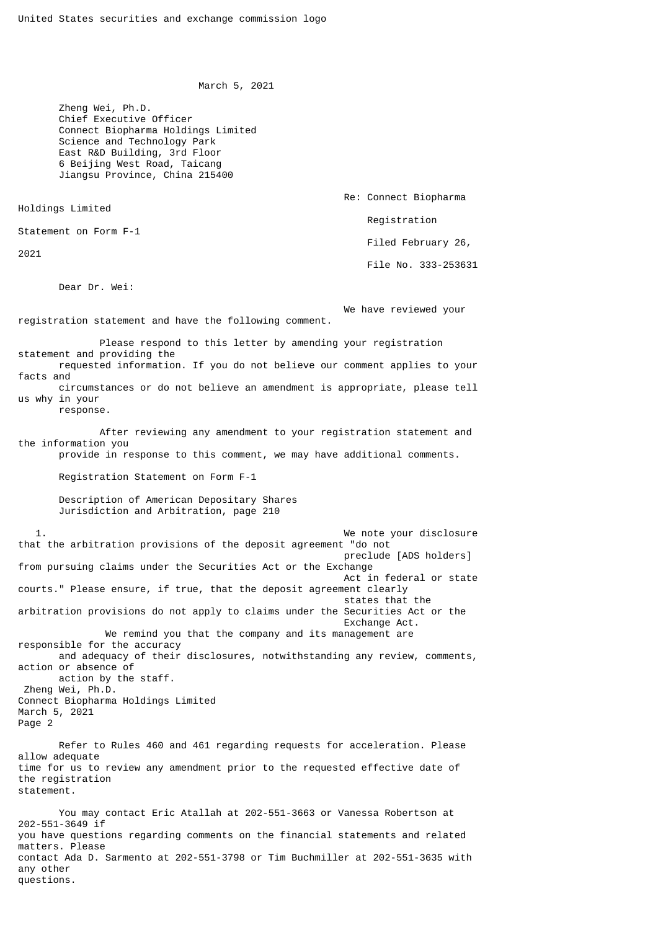March 5, 2021

 Zheng Wei, Ph.D. Chief Executive Officer Connect Biopharma Holdings Limited Science and Technology Park East R&D Building, 3rd Floor 6 Beijing West Road, Taicang Jiangsu Province, China 215400

Holdings Limited

Statement on Form F-1

2021

Dear Dr. Wei:

 We have reviewed your registration statement and have the following comment.

 Please respond to this letter by amending your registration statement and providing the

 requested information. If you do not believe our comment applies to your facts and

 circumstances or do not believe an amendment is appropriate, please tell us why in your

response.

 After reviewing any amendment to your registration statement and the information you

provide in response to this comment, we may have additional comments.

Registration Statement on Form F-1

 Description of American Depositary Shares Jurisdiction and Arbitration, page 210

 1. We note your disclosure that the arbitration provisions of the deposit agreement "do not preclude [ADS holders] from pursuing claims under the Securities Act or the Exchange Act in federal or state courts." Please ensure, if true, that the deposit agreement clearly states that the arbitration provisions do not apply to claims under the Securities Act or the Exchange Act. We remind you that the company and its management are responsible for the accuracy and adequacy of their disclosures, notwithstanding any review, comments, action or absence of action by the staff. Zheng Wei, Ph.D. Connect Biopharma Holdings Limited March 5, 2021 Page 2 Refer to Rules 460 and 461 regarding requests for acceleration. Please

allow adequate time for us to review any amendment prior to the requested effective date of the registration statement.

 You may contact Eric Atallah at 202-551-3663 or Vanessa Robertson at 202-551-3649 if you have questions regarding comments on the financial statements and related matters. Please contact Ada D. Sarmento at 202-551-3798 or Tim Buchmiller at 202-551-3635 with any other questions.

 Re: Connect Biopharma Registration Filed February 26, File No. 333-253631